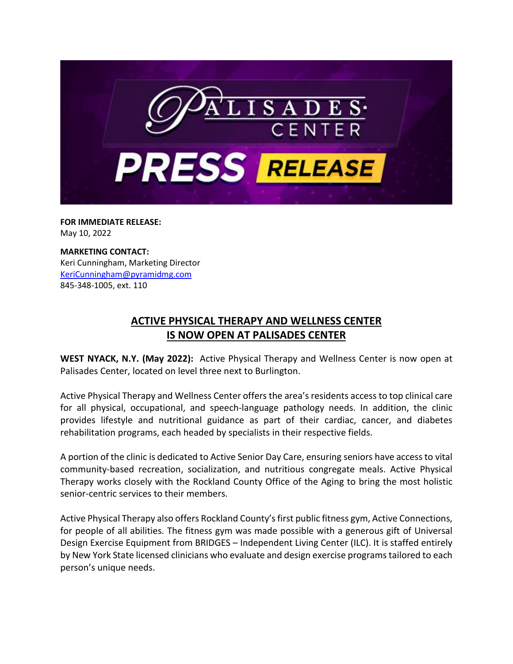

**FOR IMMEDIATE RELEASE:** May 10, 2022

**MARKETING CONTACT:** Keri Cunningham, Marketing Director [KeriCunningham@pyramidmg.com](mailto:KeriCunningham@pyramidmg.com) 845-348-1005, ext. 110

## **ACTIVE PHYSICAL THERAPY AND WELLNESS CENTER IS NOW OPEN AT PALISADES CENTER**

**WEST NYACK, N.Y. (May 2022):** Active Physical Therapy and Wellness Center is now open at Palisades Center, located on level three next to Burlington.

Active Physical Therapy and Wellness Center offers the area's residents access to top clinical care for all physical, occupational, and speech-language pathology needs. In addition, the clinic provides lifestyle and nutritional guidance as part of their cardiac, cancer, and diabetes rehabilitation programs, each headed by specialists in their respective fields.

A portion of the clinic is dedicated to Active Senior Day Care, ensuring seniors have access to vital community-based recreation, socialization, and nutritious congregate meals. Active Physical Therapy works closely with the Rockland County Office of the Aging to bring the most holistic senior-centric services to their members.

Active Physical Therapy also offers Rockland County's first public fitness gym, Active Connections, for people of all abilities. The fitness gym was made possible with a generous gift of Universal Design Exercise Equipment from BRIDGES – Independent Living Center (ILC). It is staffed entirely by New York State licensed clinicians who evaluate and design exercise programstailored to each person's unique needs.